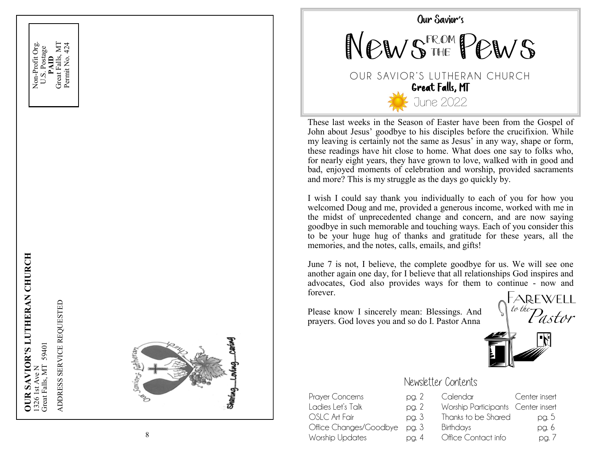





These last weeks in the Season of Easter have been from the Gospel of John about Jesus' goodbye to his disciples before the crucifixion. While my leaving is certainly not the same as Jesus' in any way, shape or form, these readings have hit close to home. What does one say to folks who, for nearly eight years, they have grown to love, walked with in good and bad, enjoyed moments of celebration and worship, provided sacraments and more? This is my struggle as the days go quickly by.

I wish I could say thank you individually to each of you for how you welcomed Doug and me, provided a generous income, worked with me in the midst of unprecedented change and concern, and are now saying goodbye in such memorable and touching ways. Each of you consider this to be your huge hug of thanks and gratitude for these years, all the memories, and the notes, calls, emails, and gifts!

June 7 is not, I believe, the complete goodbye for us. We will see one another again one day, for I believe that all relationships God inspires and advocates, God also provides ways for them to continue - now and forever.

Please know I sincerely mean: Blessings. And prayers. God loves you and so do I. Pastor Anna

FAREWELL<br>*to the Pastor* 



### Newsletter Contents

| Prayer Concerns              | pg. 2 | Calendar                           | Center insert |
|------------------------------|-------|------------------------------------|---------------|
| Ladies Let's Talk            | pg. 2 | Worship Participants Center insert |               |
| OSLC Art Fair                | pg. 3 | Thanks to be Shared                | pg. 5         |
| Office Changes/Goodbye pg. 3 |       | Birthdays                          | pg. 6         |
| Worship Updates              | pg. 4 | Office Contact info                | pg. 7         |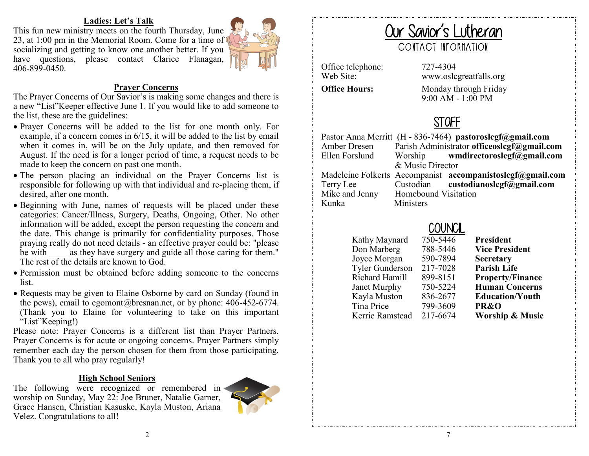#### **Ladies: Let's Talk**

This fun new ministry meets on the fourth Thursday, June 23, at 1:00 pm in the Memorial Room. Come for a time of socializing and getting to know one another better. If you have questions, please contact Clarice Flanagan, 406-899-0450.



#### **Prayer Concerns**

The Prayer Concerns of Our Savior's is making some changes and there is a new "List"Keeper effective June 1. If you would like to add someone to the list, these are the guidelines:

- Prayer Concerns will be added to the list for one month only. For example, if a concern comes in 6/15, it will be added to the list by email when it comes in, will be on the July update, and then removed for August. If the need is for a longer period of time, a request needs to be made to keep the concern on past one month.
- The person placing an individual on the Prayer Concerns list is responsible for following up with that individual and re-placing them, if desired, after one month.
- Beginning with June, names of requests will be placed under these categories: Cancer/Illness, Surgery, Deaths, Ongoing, Other. No other information will be added, except the person requesting the concern and the date. This change is primarily for confidentiality purposes. Those praying really do not need details - an effective prayer could be: "please be with as they have surgery and guide all those caring for them." The rest of the details are known to God.
- Permission must be obtained before adding someone to the concerns list.
- Requests may be given to Elaine Osborne by card on Sunday (found in the pews), email to egomont@bresnan.net, or by phone: 406-452-6774. (Thank you to Elaine for volunteering to take on this important "List"Keeping!)

Please note: Prayer Concerns is a different list than Prayer Partners. Prayer Concerns is for acute or ongoing concerns. Prayer Partners simply remember each day the person chosen for them from those participating. Thank you to all who pray regularly!

#### **High School Seniors**

The following were recognized or remembered in worship on Sunday, May 22: Joe Bruner, Natalie Garner, Grace Hansen, Christian Kasuske, Kayla Muston, Ariana Velez. Congratulations to all!



# Our Savior's Lutheran CONTACT INFORMATION

Office telephone: 727-4304

Web Site: www.oslcgreatfalls.org **Office Hours:** Monday through Friday 9:00 AM - 1:00 PM

# **STAFF**

| Amber Dresen   |                      | Pastor Anna Merritt (H - 836-7464) pastoroslegf@gmail.com<br>Parish Administrator officeoslcgf@gmail.com |
|----------------|----------------------|----------------------------------------------------------------------------------------------------------|
| Ellen Forslund |                      | Worship wmdirectoroslcgf@gmail.com                                                                       |
|                | & Music Director     |                                                                                                          |
|                |                      | Madeleine Folkerts Accompanist accompanistoslegf@gmail.com                                               |
| Terry Lee      |                      | Custodian custodianoslegf@gmail.com                                                                      |
| Mike and Jenny | Homebound Visitation |                                                                                                          |
| Kunka          | Ministers            |                                                                                                          |
|                |                      |                                                                                                          |

# **COUNCIL**

Kathy Maynard 750-5446 **President** Don Marberg 788-5446 **Vice President** Joyce Morgan 590-7894 **Secretary**  Tyler Gunderson 217-7028 **Parish Life** Richard Hamill 899-8151 **Property/Finance** Janet Murphy 750-5224 **Human Concerns** Kayla Muston 836-2677 **Education/Youth** Tina Price 799-3609 **PR&O** Kerrie Ramstead 217-6674 **Worship & Music**

2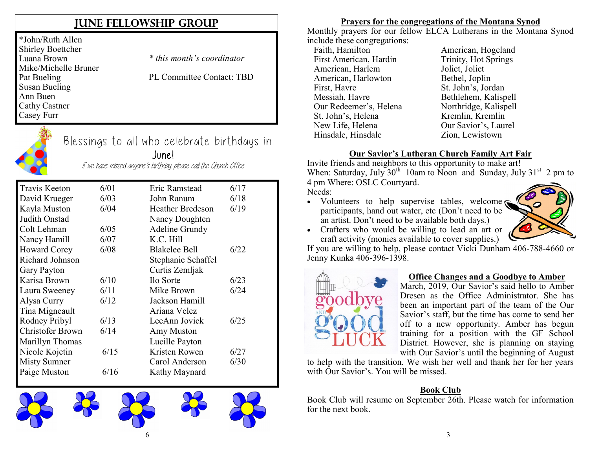## **JUNE FELLOWSHIP GROUP**

\*John/Ruth Allen Shirley Boettcher Luana Brown Mike/Michelle Bruner Pat Bueling Susan Bueling Ann Buen Cathy Castner Casey Furr

*\* this month's coordinator*

PL Committee Contact: TBD



## Blessings to all who celebrate birthdays in: June!

If we have missed anyone's birthday, please call the Church Office.

| <b>Travis Keeton</b>    | 6/01 | Eric Ramstead         | 6/17 |
|-------------------------|------|-----------------------|------|
| David Krueger           | 6/03 | John Ranum            | 6/18 |
| Kayla Muston            | 6/04 | Heather Bredeson      | 6/19 |
| Judith Onstad           |      | Nancy Doughten        |      |
| Colt Lehman             | 6/05 | <b>Adeline Grundy</b> |      |
| Nancy Hamill            | 6/07 | K.C. Hill             |      |
| Howard Corey            | 6/08 | <b>Blakelee Bell</b>  | 6/22 |
| Richard Johnson         |      | Stephanie Schaffel    |      |
| Gary Payton             |      | Curtis Zemljak        |      |
| Karisa Brown            | 6/10 | Ilo Sorte             | 6/23 |
| Laura Sweeney           | 6/11 | Mike Brown            | 6/24 |
| Alysa Curry             | 6/12 | Jackson Hamill        |      |
| Tina Migneault          |      | Ariana Velez          |      |
| Rodney Pribyl           | 6/13 | LeeAnn Jovick         | 6/25 |
| <b>Christofer Brown</b> | 6/14 | Amy Muston            |      |
| Marillyn Thomas         |      | Lucille Payton        |      |
| Nicole Kojetin          | 6/15 | Kristen Rowen         | 6/27 |
| Misty Sumner            |      | Carol Anderson        | 6/30 |
| Paige Muston            | 6/16 | Kathy Maynard         |      |



#### **Prayers for the congregations of the Montana Synod**

Monthly prayers for our fellow ELCA Lutherans in the Montana Synod include these congregations:

Faith, Hamilton **American**, Hogeland First American, Hardin Trinity, Hot Springs American, Harlem Joliet, Joliet American, Harlowton Bethel, Joplin First, Havre St. John's, Jordan Messiah, Havre Bethlehem, Kalispell Our Redeemer's, Helena Northridge, Kalispell<br>St. John's, Helena Kremlin, Kremlin St. John's, Helena New Life, Helena **Our Savior's**, Laurel Hinsdale, Hinsdale Zion, Lewistown

#### **Our Savior's Lutheran Church Family Art Fair**

Invite friends and neighbors to this opportunity to make art! When: Saturday, July  $30<sup>th</sup> 10$ am to Noon and Sunday, July  $31<sup>st</sup> 2$  pm to 4 pm Where: OSLC Courtyard.

Needs:

• Volunteers to help supervise tables, welcome participants, hand out water, etc (Don't need to be an artist. Don't need to be available both days.)



 Crafters who would be willing to lead an art or craft activity (monies available to cover supplies.)

If you are willing to help, please contact Vicki Dunham 406-788-4660 or Jenny Kunka 406-396-1398.



#### **Office Changes and a Goodbye to Amber**

March, 2019, Our Savior's said hello to Amber Dresen as the Office Administrator. She has been an important part of the team of the Our Savior's staff, but the time has come to send her off to a new opportunity. Amber has begun training for a position with the GF School District. However, she is planning on staying with Our Savior's until the beginning of August

to help with the transition. We wish her well and thank her for her years with Our Savior's. You will be missed.

#### **Book Club**

Book Club will resume on September 26th. Please watch for information for the next book.